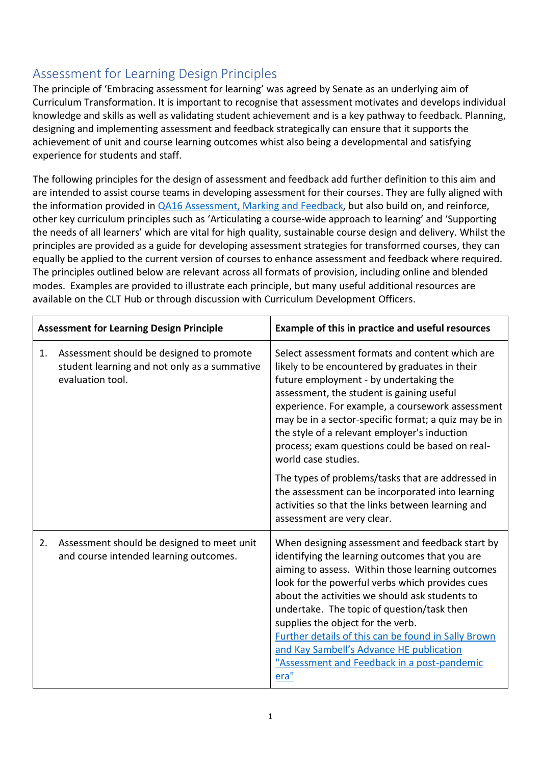## Assessment for Learning Design Principles

The principle of 'Embracing assessment for learning' was agreed by Senate as an underlying aim of Curriculum Transformation. It is important to recognise that assessment motivates and develops individual knowledge and skills as well as validating student achievement and is a key pathway to feedback. Planning, designing and implementing assessment and feedback strategically can ensure that it supports the achievement of unit and course learning outcomes whist also being a developmental and satisfying experience for students and staff.

The following principles for the design of assessment and feedback add further definition to this aim and are intended to assist course teams in developing assessment for their courses. They are fully aligned with the information provided in [QA16 Assessment, Marking and Feedback,](https://www.bath.ac.uk/publications/qa16-assessment-marking-and-feedback/) but also build on, and reinforce, other key curriculum principles such as 'Articulating a course-wide approach to learning' and 'Supporting the needs of all learners' which are vital for high quality, sustainable course design and delivery. Whilst the principles are provided as a guide for developing assessment strategies for transformed courses, they can equally be applied to the current version of courses to enhance assessment and feedback where required. The principles outlined below are relevant across all formats of provision, including online and blended modes. Examples are provided to illustrate each principle, but many useful additional resources are available on the CLT Hub or through discussion with Curriculum Development Officers.

| <b>Assessment for Learning Design Principle</b> |                                                                                                              | Example of this in practice and useful resources                                                                                                                                                                                                                                                                                                                                                                                                                                                        |
|-------------------------------------------------|--------------------------------------------------------------------------------------------------------------|---------------------------------------------------------------------------------------------------------------------------------------------------------------------------------------------------------------------------------------------------------------------------------------------------------------------------------------------------------------------------------------------------------------------------------------------------------------------------------------------------------|
| 1.                                              | Assessment should be designed to promote<br>student learning and not only as a summative<br>evaluation tool. | Select assessment formats and content which are<br>likely to be encountered by graduates in their<br>future employment - by undertaking the<br>assessment, the student is gaining useful<br>experience. For example, a coursework assessment<br>may be in a sector-specific format; a quiz may be in<br>the style of a relevant employer's induction<br>process; exam questions could be based on real-<br>world case studies.                                                                          |
|                                                 |                                                                                                              | The types of problems/tasks that are addressed in<br>the assessment can be incorporated into learning<br>activities so that the links between learning and<br>assessment are very clear.                                                                                                                                                                                                                                                                                                                |
| 2.                                              | Assessment should be designed to meet unit<br>and course intended learning outcomes.                         | When designing assessment and feedback start by<br>identifying the learning outcomes that you are<br>aiming to assess. Within those learning outcomes<br>look for the powerful verbs which provides cues<br>about the activities we should ask students to<br>undertake. The topic of question/task then<br>supplies the object for the verb.<br>Further details of this can be found in Sally Brown<br>and Kay Sambell's Advance HE publication<br>"Assessment and Feedback in a post-pandemic<br>era" |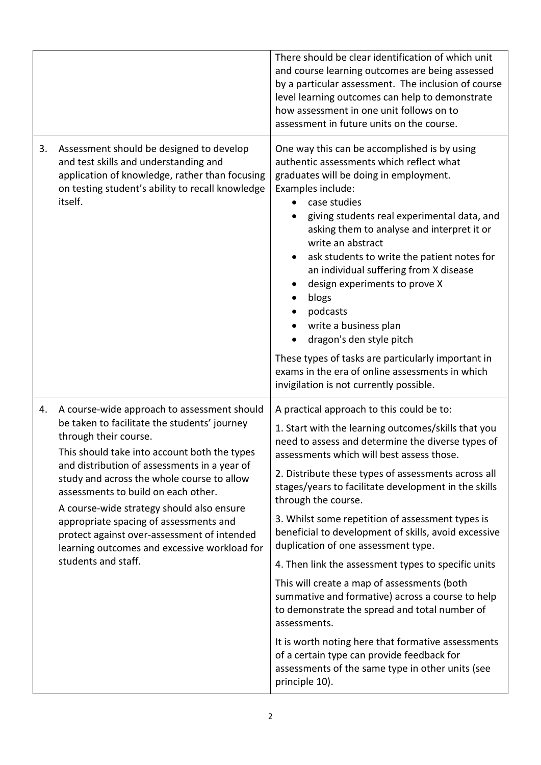|    |                                                                                                                                                                                                                                                                                                                                                                                                                                                                                                                        | There should be clear identification of which unit<br>and course learning outcomes are being assessed<br>by a particular assessment. The inclusion of course<br>level learning outcomes can help to demonstrate<br>how assessment in one unit follows on to<br>assessment in future units on the course.                                                                                                                                                                                                                                                                                                                                                                                                               |
|----|------------------------------------------------------------------------------------------------------------------------------------------------------------------------------------------------------------------------------------------------------------------------------------------------------------------------------------------------------------------------------------------------------------------------------------------------------------------------------------------------------------------------|------------------------------------------------------------------------------------------------------------------------------------------------------------------------------------------------------------------------------------------------------------------------------------------------------------------------------------------------------------------------------------------------------------------------------------------------------------------------------------------------------------------------------------------------------------------------------------------------------------------------------------------------------------------------------------------------------------------------|
| 3. | Assessment should be designed to develop<br>and test skills and understanding and<br>application of knowledge, rather than focusing<br>on testing student's ability to recall knowledge<br>itself.                                                                                                                                                                                                                                                                                                                     | One way this can be accomplished is by using<br>authentic assessments which reflect what<br>graduates will be doing in employment.<br>Examples include:<br>case studies<br>giving students real experimental data, and<br>asking them to analyse and interpret it or<br>write an abstract<br>ask students to write the patient notes for<br>an individual suffering from X disease<br>design experiments to prove X<br>blogs<br>podcasts<br>write a business plan<br>dragon's den style pitch                                                                                                                                                                                                                          |
|    |                                                                                                                                                                                                                                                                                                                                                                                                                                                                                                                        | These types of tasks are particularly important in<br>exams in the era of online assessments in which<br>invigilation is not currently possible.                                                                                                                                                                                                                                                                                                                                                                                                                                                                                                                                                                       |
| 4. | A course-wide approach to assessment should<br>be taken to facilitate the students' journey<br>through their course.<br>This should take into account both the types<br>and distribution of assessments in a year of<br>study and across the whole course to allow<br>assessments to build on each other.<br>A course-wide strategy should also ensure<br>appropriate spacing of assessments and<br>protect against over-assessment of intended<br>learning outcomes and excessive workload for<br>students and staff. | A practical approach to this could be to:<br>1. Start with the learning outcomes/skills that you<br>need to assess and determine the diverse types of<br>assessments which will best assess those.<br>2. Distribute these types of assessments across all<br>stages/years to facilitate development in the skills<br>through the course.<br>3. Whilst some repetition of assessment types is<br>beneficial to development of skills, avoid excessive<br>duplication of one assessment type.<br>4. Then link the assessment types to specific units<br>This will create a map of assessments (both<br>summative and formative) across a course to help<br>to demonstrate the spread and total number of<br>assessments. |
|    |                                                                                                                                                                                                                                                                                                                                                                                                                                                                                                                        | It is worth noting here that formative assessments<br>of a certain type can provide feedback for<br>assessments of the same type in other units (see<br>principle 10).                                                                                                                                                                                                                                                                                                                                                                                                                                                                                                                                                 |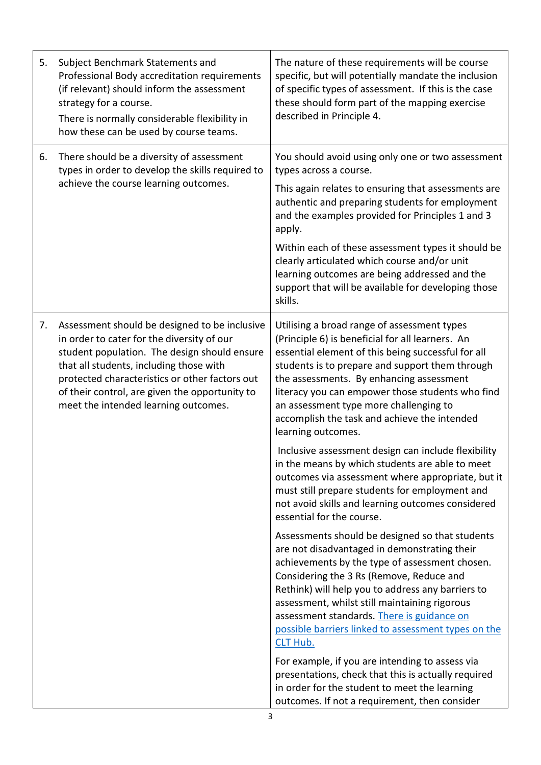| 5. | Subject Benchmark Statements and<br>Professional Body accreditation requirements<br>(if relevant) should inform the assessment<br>strategy for a course.<br>There is normally considerable flexibility in<br>how these can be used by course teams.                                                                                | The nature of these requirements will be course<br>specific, but will potentially mandate the inclusion<br>of specific types of assessment. If this is the case<br>these should form part of the mapping exercise<br>described in Principle 4.                                                                                                                                                                           |
|----|------------------------------------------------------------------------------------------------------------------------------------------------------------------------------------------------------------------------------------------------------------------------------------------------------------------------------------|--------------------------------------------------------------------------------------------------------------------------------------------------------------------------------------------------------------------------------------------------------------------------------------------------------------------------------------------------------------------------------------------------------------------------|
| 6. | There should be a diversity of assessment<br>types in order to develop the skills required to<br>achieve the course learning outcomes.                                                                                                                                                                                             | You should avoid using only one or two assessment<br>types across a course.                                                                                                                                                                                                                                                                                                                                              |
|    |                                                                                                                                                                                                                                                                                                                                    | This again relates to ensuring that assessments are<br>authentic and preparing students for employment<br>and the examples provided for Principles 1 and 3<br>apply.                                                                                                                                                                                                                                                     |
|    |                                                                                                                                                                                                                                                                                                                                    | Within each of these assessment types it should be<br>clearly articulated which course and/or unit<br>learning outcomes are being addressed and the<br>support that will be available for developing those<br>skills.                                                                                                                                                                                                    |
| 7. | Assessment should be designed to be inclusive<br>in order to cater for the diversity of our<br>student population. The design should ensure<br>that all students, including those with<br>protected characteristics or other factors out<br>of their control, are given the opportunity to<br>meet the intended learning outcomes. | Utilising a broad range of assessment types<br>(Principle 6) is beneficial for all learners. An<br>essential element of this being successful for all<br>students is to prepare and support them through<br>the assessments. By enhancing assessment<br>literacy you can empower those students who find<br>an assessment type more challenging to<br>accomplish the task and achieve the intended<br>learning outcomes. |
|    |                                                                                                                                                                                                                                                                                                                                    | Inclusive assessment design can include flexibility<br>in the means by which students are able to meet<br>outcomes via assessment where appropriate, but it<br>must still prepare students for employment and<br>not avoid skills and learning outcomes considered<br>essential for the course.                                                                                                                          |
|    |                                                                                                                                                                                                                                                                                                                                    | Assessments should be designed so that students<br>are not disadvantaged in demonstrating their<br>achievements by the type of assessment chosen.<br>Considering the 3 Rs (Remove, Reduce and<br>Rethink) will help you to address any barriers to<br>assessment, whilst still maintaining rigorous<br>assessment standards. There is guidance on<br>possible barriers linked to assessment types on the<br>CLT Hub.     |
|    |                                                                                                                                                                                                                                                                                                                                    | For example, if you are intending to assess via<br>presentations, check that this is actually required<br>in order for the student to meet the learning<br>outcomes. If not a requirement, then consider                                                                                                                                                                                                                 |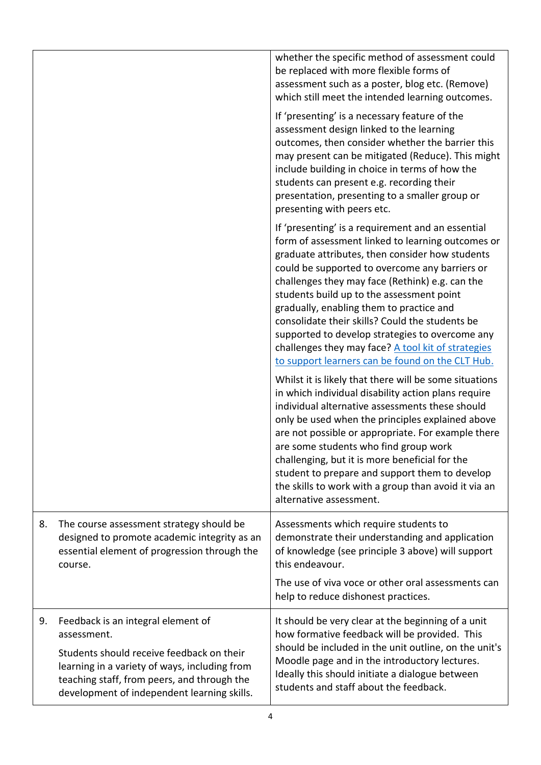|    |                                                                                                                                                     | whether the specific method of assessment could<br>be replaced with more flexible forms of<br>assessment such as a poster, blog etc. (Remove)<br>which still meet the intended learning outcomes.                                                                                                                                                                                                                                                                                                                                                                                                                                                                                                                                                                                                                                                                                                                                                                                                  |
|----|-----------------------------------------------------------------------------------------------------------------------------------------------------|----------------------------------------------------------------------------------------------------------------------------------------------------------------------------------------------------------------------------------------------------------------------------------------------------------------------------------------------------------------------------------------------------------------------------------------------------------------------------------------------------------------------------------------------------------------------------------------------------------------------------------------------------------------------------------------------------------------------------------------------------------------------------------------------------------------------------------------------------------------------------------------------------------------------------------------------------------------------------------------------------|
|    |                                                                                                                                                     | If 'presenting' is a necessary feature of the<br>assessment design linked to the learning<br>outcomes, then consider whether the barrier this<br>may present can be mitigated (Reduce). This might<br>include building in choice in terms of how the<br>students can present e.g. recording their<br>presentation, presenting to a smaller group or<br>presenting with peers etc.                                                                                                                                                                                                                                                                                                                                                                                                                                                                                                                                                                                                                  |
|    |                                                                                                                                                     | If 'presenting' is a requirement and an essential<br>form of assessment linked to learning outcomes or<br>graduate attributes, then consider how students<br>could be supported to overcome any barriers or<br>challenges they may face (Rethink) e.g. can the<br>students build up to the assessment point<br>gradually, enabling them to practice and<br>consolidate their skills? Could the students be<br>supported to develop strategies to overcome any<br>challenges they may face? A tool kit of strategies<br>to support learners can be found on the CLT Hub.<br>Whilst it is likely that there will be some situations<br>in which individual disability action plans require<br>individual alternative assessments these should<br>only be used when the principles explained above<br>are not possible or appropriate. For example there<br>are some students who find group work<br>challenging, but it is more beneficial for the<br>student to prepare and support them to develop |
|    |                                                                                                                                                     | the skills to work with a group than avoid it via an<br>alternative assessment.                                                                                                                                                                                                                                                                                                                                                                                                                                                                                                                                                                                                                                                                                                                                                                                                                                                                                                                    |
| 8. | The course assessment strategy should be<br>designed to promote academic integrity as an<br>essential element of progression through the<br>course. | Assessments which require students to<br>demonstrate their understanding and application<br>of knowledge (see principle 3 above) will support<br>this endeavour.                                                                                                                                                                                                                                                                                                                                                                                                                                                                                                                                                                                                                                                                                                                                                                                                                                   |
|    |                                                                                                                                                     | The use of viva voce or other oral assessments can<br>help to reduce dishonest practices.                                                                                                                                                                                                                                                                                                                                                                                                                                                                                                                                                                                                                                                                                                                                                                                                                                                                                                          |
| 9. | Feedback is an integral element of<br>assessment.<br>Students should receive feedback on their                                                      | It should be very clear at the beginning of a unit<br>how formative feedback will be provided. This<br>should be included in the unit outline, on the unit's                                                                                                                                                                                                                                                                                                                                                                                                                                                                                                                                                                                                                                                                                                                                                                                                                                       |
|    | learning in a variety of ways, including from<br>teaching staff, from peers, and through the<br>development of independent learning skills.         | Moodle page and in the introductory lectures.<br>Ideally this should initiate a dialogue between<br>students and staff about the feedback.                                                                                                                                                                                                                                                                                                                                                                                                                                                                                                                                                                                                                                                                                                                                                                                                                                                         |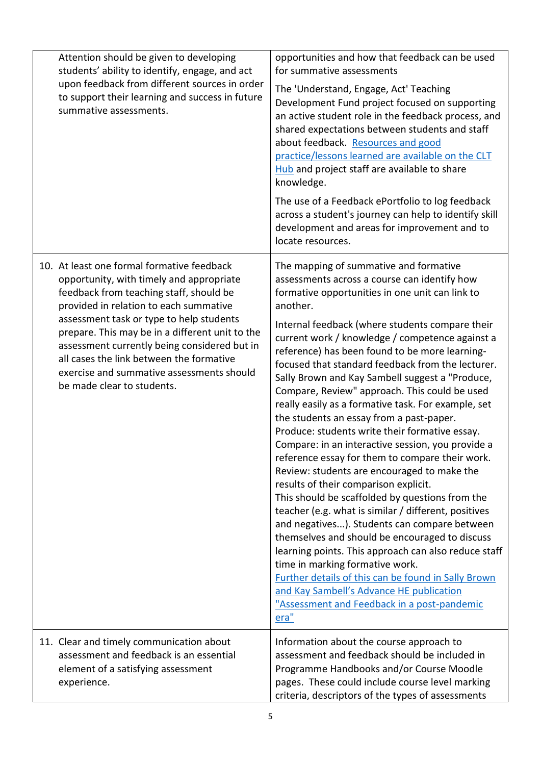| Attention should be given to developing<br>students' ability to identify, engage, and act<br>upon feedback from different sources in order<br>to support their learning and success in future<br>summative assessments.                                                                                                                                                                                                                           | opportunities and how that feedback can be used<br>for summative assessments<br>The 'Understand, Engage, Act' Teaching<br>Development Fund project focused on supporting<br>an active student role in the feedback process, and<br>shared expectations between students and staff<br>about feedback. Resources and good<br>practice/lessons learned are available on the CLT<br>Hub and project staff are available to share<br>knowledge.<br>The use of a Feedback ePortfolio to log feedback<br>across a student's journey can help to identify skill<br>development and areas for improvement and to<br>locate resources.                                                                                                                                                                                                                                                                                                                                                                                                                                                                                                                                                                                                                                                                  |
|---------------------------------------------------------------------------------------------------------------------------------------------------------------------------------------------------------------------------------------------------------------------------------------------------------------------------------------------------------------------------------------------------------------------------------------------------|-----------------------------------------------------------------------------------------------------------------------------------------------------------------------------------------------------------------------------------------------------------------------------------------------------------------------------------------------------------------------------------------------------------------------------------------------------------------------------------------------------------------------------------------------------------------------------------------------------------------------------------------------------------------------------------------------------------------------------------------------------------------------------------------------------------------------------------------------------------------------------------------------------------------------------------------------------------------------------------------------------------------------------------------------------------------------------------------------------------------------------------------------------------------------------------------------------------------------------------------------------------------------------------------------|
| 10. At least one formal formative feedback<br>opportunity, with timely and appropriate<br>feedback from teaching staff, should be<br>provided in relation to each summative<br>assessment task or type to help students<br>prepare. This may be in a different unit to the<br>assessment currently being considered but in<br>all cases the link between the formative<br>exercise and summative assessments should<br>be made clear to students. | The mapping of summative and formative<br>assessments across a course can identify how<br>formative opportunities in one unit can link to<br>another.<br>Internal feedback (where students compare their<br>current work / knowledge / competence against a<br>reference) has been found to be more learning-<br>focused that standard feedback from the lecturer.<br>Sally Brown and Kay Sambell suggest a "Produce,<br>Compare, Review" approach. This could be used<br>really easily as a formative task. For example, set<br>the students an essay from a past-paper.<br>Produce: students write their formative essay.<br>Compare: in an interactive session, you provide a<br>reference essay for them to compare their work.<br>Review: students are encouraged to make the<br>results of their comparison explicit.<br>This should be scaffolded by questions from the<br>teacher (e.g. what is similar / different, positives<br>and negatives). Students can compare between<br>themselves and should be encouraged to discuss<br>learning points. This approach can also reduce staff<br>time in marking formative work.<br>Further details of this can be found in Sally Brown<br>and Kay Sambell's Advance HE publication<br>"Assessment and Feedback in a post-pandemic<br>era" |
| 11. Clear and timely communication about<br>assessment and feedback is an essential<br>element of a satisfying assessment<br>experience.                                                                                                                                                                                                                                                                                                          | Information about the course approach to<br>assessment and feedback should be included in<br>Programme Handbooks and/or Course Moodle<br>pages. These could include course level marking<br>criteria, descriptors of the types of assessments                                                                                                                                                                                                                                                                                                                                                                                                                                                                                                                                                                                                                                                                                                                                                                                                                                                                                                                                                                                                                                                 |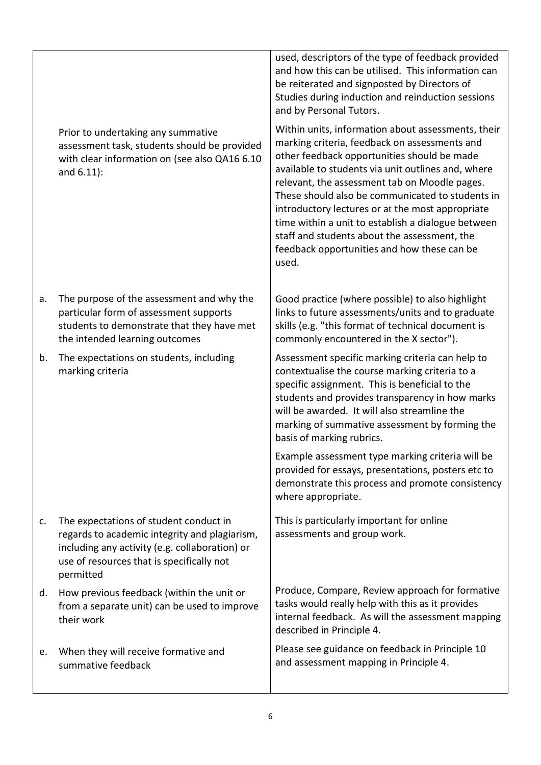Prior to undertaking any summative assessment task, students should be provided with clear information on (see also QA16 6.10 and 6.11):

- a. The purpose of the assessment and why the particular form of assessment supports students to demonstrate that they have met the intended learning outcomes
- b. The expectations on students, including marking criteria

c. The expectations of student conduct in regards to academic integrity and plagiarism, including any activity (e.g. collaboration) or use of resources that is specifically not permitted

d. How previous feedback (within the unit or from a separate unit) can be used to improve their work

e. When they will receive formative and summative feedback

used, descriptors of the type of feedback provided and how this can be utilised. This information can be reiterated and signposted by Directors of Studies during induction and reinduction sessions and by Personal Tutors.

Within units, information about assessments, their marking criteria, feedback on assessments and other feedback opportunities should be made available to students via unit outlines and, where relevant, the assessment tab on Moodle pages. These should also be communicated to students in introductory lectures or at the most appropriate time within a unit to establish a dialogue between staff and students about the assessment, the feedback opportunities and how these can be used.

Good practice (where possible) to also highlight links to future assessments/units and to graduate skills (e.g. "this format of technical document is commonly encountered in the X sector").

Assessment specific marking criteria can help to contextualise the course marking criteria to a specific assignment. This is beneficial to the students and provides transparency in how marks will be awarded. It will also streamline the marking of summative assessment by forming the basis of marking rubrics.

Example assessment type marking criteria will be provided for essays, presentations, posters etc to demonstrate this process and promote consistency where appropriate.

This is particularly important for online assessments and group work.

Produce, Compare, Review approach for formative tasks would really help with this as it provides internal feedback. As will the assessment mapping described in Principle 4.

Please see guidance on feedback in Principle 10 and assessment mapping in Principle 4.